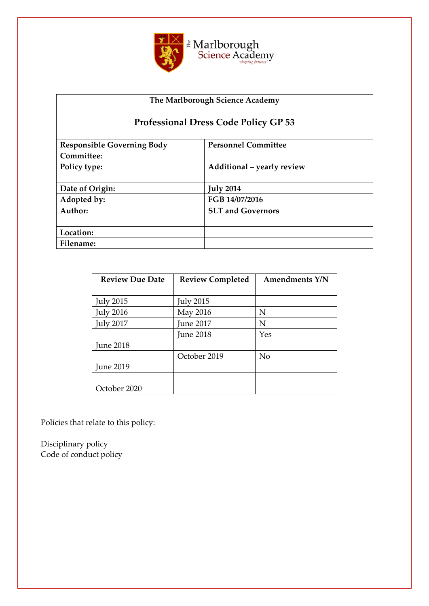

# **The Marlborough Science Academy**

# **Professional Dress Code Policy GP 53**

| <b>Responsible Governing Body</b> | <b>Personnel Committee</b> |  |
|-----------------------------------|----------------------------|--|
| Committee:                        |                            |  |
| Policy type:                      | Additional - yearly review |  |
|                                   |                            |  |
| Date of Origin:                   | <b>July 2014</b>           |  |
| Adopted by:                       | FGB 14/07/2016             |  |
| Author:                           | <b>SLT and Governors</b>   |  |
|                                   |                            |  |
| Location:                         |                            |  |
| Filename:                         |                            |  |

| <b>Review Due Date</b> | <b>Review Completed</b> | <b>Amendments Y/N</b> |
|------------------------|-------------------------|-----------------------|
|                        |                         |                       |
| <b>July 2015</b>       | <b>July 2015</b>        |                       |
| <b>July 2016</b>       | May 2016                | N                     |
| <b>July 2017</b>       | <b>June 2017</b>        | N                     |
|                        | <b>June 2018</b>        | Yes                   |
| <b>June 2018</b>       |                         |                       |
|                        | October 2019            | N <sub>o</sub>        |
| <b>June 2019</b>       |                         |                       |
|                        |                         |                       |
| October 2020           |                         |                       |

Policies that relate to this policy:

Disciplinary policy Code of conduct policy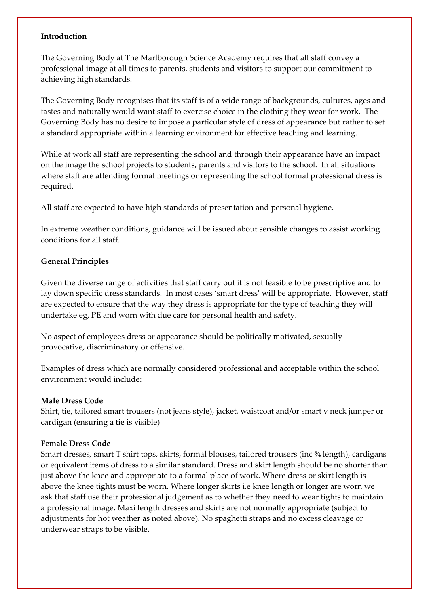#### **Introduction**

The Governing Body at The Marlborough Science Academy requires that all staff convey a professional image at all times to parents, students and visitors to support our commitment to achieving high standards.

The Governing Body recognises that its staff is of a wide range of backgrounds, cultures, ages and tastes and naturally would want staff to exercise choice in the clothing they wear for work. The Governing Body has no desire to impose a particular style of dress of appearance but rather to set a standard appropriate within a learning environment for effective teaching and learning.

While at work all staff are representing the school and through their appearance have an impact on the image the school projects to students, parents and visitors to the school. In all situations where staff are attending formal meetings or representing the school formal professional dress is required.

All staff are expected to have high standards of presentation and personal hygiene.

In extreme weather conditions, guidance will be issued about sensible changes to assist working conditions for all staff.

#### **General Principles**

Given the diverse range of activities that staff carry out it is not feasible to be prescriptive and to lay down specific dress standards. In most cases 'smart dress' will be appropriate. However, staff are expected to ensure that the way they dress is appropriate for the type of teaching they will undertake eg, PE and worn with due care for personal health and safety.

No aspect of employees dress or appearance should be politically motivated, sexually provocative, discriminatory or offensive.

Examples of dress which are normally considered professional and acceptable within the school environment would include:

#### **Male Dress Code**

Shirt, tie, tailored smart trousers (not jeans style), jacket, waistcoat and/or smart v neck jumper or cardigan (ensuring a tie is visible)

#### **Female Dress Code**

Smart dresses, smart T shirt tops, skirts, formal blouses, tailored trousers (inc  $\frac{3}{4}$  length), cardigans or equivalent items of dress to a similar standard. Dress and skirt length should be no shorter than just above the knee and appropriate to a formal place of work. Where dress or skirt length is above the knee tights must be worn. Where longer skirts i.e knee length or longer are worn we ask that staff use their professional judgement as to whether they need to wear tights to maintain a professional image. Maxi length dresses and skirts are not normally appropriate (subject to adjustments for hot weather as noted above). No spaghetti straps and no excess cleavage or underwear straps to be visible.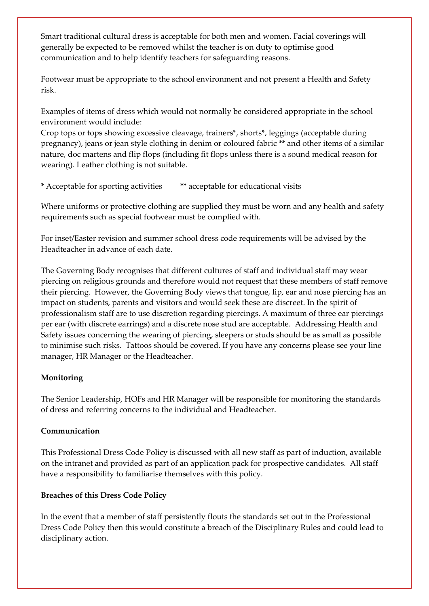Smart traditional cultural dress is acceptable for both men and women. Facial coverings will generally be expected to be removed whilst the teacher is on duty to optimise good communication and to help identify teachers for safeguarding reasons.

Footwear must be appropriate to the school environment and not present a Health and Safety risk.

Examples of items of dress which would not normally be considered appropriate in the school environment would include:

Crop tops or tops showing excessive cleavage, trainers\*, shorts\*, leggings (acceptable during pregnancy), jeans or jean style clothing in denim or coloured fabric \*\* and other items of a similar nature, doc martens and flip flops (including fit flops unless there is a sound medical reason for wearing). Leather clothing is not suitable.

\* Acceptable for sporting activities \*\* acceptable for educational visits

Where uniforms or protective clothing are supplied they must be worn and any health and safety requirements such as special footwear must be complied with.

For inset/Easter revision and summer school dress code requirements will be advised by the Headteacher in advance of each date.

The Governing Body recognises that different cultures of staff and individual staff may wear piercing on religious grounds and therefore would not request that these members of staff remove their piercing. However, the Governing Body views that tongue, lip, ear and nose piercing has an impact on students, parents and visitors and would seek these are discreet. In the spirit of professionalism staff are to use discretion regarding piercings. A maximum of three ear piercings per ear (with discrete earrings) and a discrete nose stud are acceptable. Addressing Health and Safety issues concerning the wearing of piercing, sleepers or studs should be as small as possible to minimise such risks. Tattoos should be covered. If you have any concerns please see your line manager, HR Manager or the Headteacher.

# **Monitoring**

The Senior Leadership, HOFs and HR Manager will be responsible for monitoring the standards of dress and referring concerns to the individual and Headteacher.

## **Communication**

This Professional Dress Code Policy is discussed with all new staff as part of induction, available on the intranet and provided as part of an application pack for prospective candidates. All staff have a responsibility to familiarise themselves with this policy.

## **Breaches of this Dress Code Policy**

In the event that a member of staff persistently flouts the standards set out in the Professional Dress Code Policy then this would constitute a breach of the Disciplinary Rules and could lead to disciplinary action.